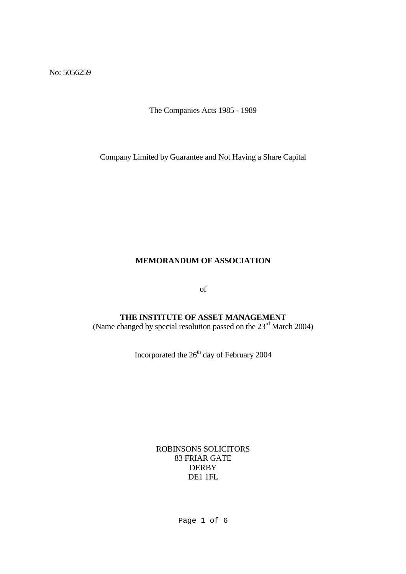No: 5056259

The Companies Acts 1985 - 1989

Company Limited by Guarantee and Not Having a Share Capital

#### **MEMORANDUM OF ASSOCIATION**

of

# **THE INSTITUTE OF ASSET MANAGEMENT**

(Name changed by special resolution passed on the  $23<sup>rd</sup>$  March 2004)

Incorporated the  $26<sup>th</sup>$  day of February 2004

ROBINSONS SOLICITORS 83 FRIAR GATE **DERBY** DE1 1FL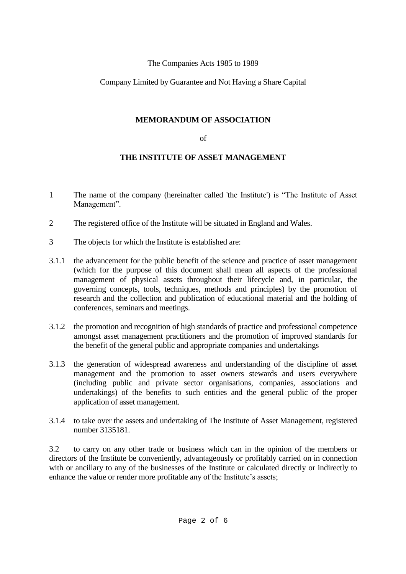#### The Companies Acts 1985 to 1989

## Company Limited by Guarantee and Not Having a Share Capital

## **MEMORANDUM OF ASSOCIATION**

#### of

## **THE INSTITUTE OF ASSET MANAGEMENT**

- 1 The name of the company (hereinafter called 'the Institute') is "The Institute of Asset Management".
- 2 The registered office of the Institute will be situated in England and Wales.
- 3 The objects for which the Institute is established are:
- 3.1.1 the advancement for the public benefit of the science and practice of asset management (which for the purpose of this document shall mean all aspects of the professional management of physical assets throughout their lifecycle and, in particular, the governing concepts, tools, techniques, methods and principles) by the promotion of research and the collection and publication of educational material and the holding of conferences, seminars and meetings.
- 3.1.2 the promotion and recognition of high standards of practice and professional competence amongst asset management practitioners and the promotion of improved standards for the benefit of the general public and appropriate companies and undertakings
- 3.1.3 the generation of widespread awareness and understanding of the discipline of asset management and the promotion to asset owners stewards and users everywhere (including public and private sector organisations, companies, associations and undertakings) of the benefits to such entities and the general public of the proper application of asset management.
- 3.1.4 to take over the assets and undertaking of The Institute of Asset Management, registered number 3135181.

3.2 to carry on any other trade or business which can in the opinion of the members or directors of the Institute be conveniently, advantageously or profitably carried on in connection with or ancillary to any of the businesses of the Institute or calculated directly or indirectly to enhance the value or render more profitable any of the Institute's assets;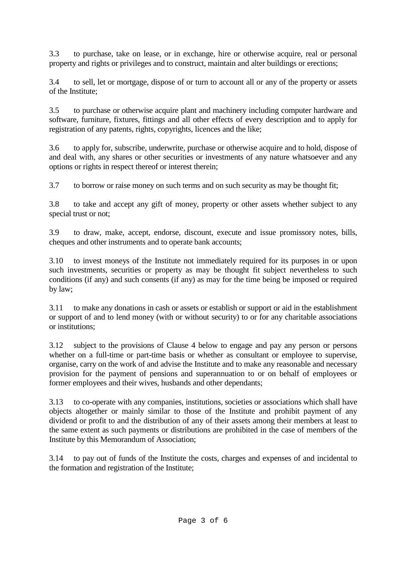3.3 to purchase, take on lease, or in exchange, hire or otherwise acquire, real or personal property and rights or privileges and to construct, maintain and alter buildings or erections;

3.4 to sell, let or mortgage, dispose of or turn to account all or any of the property or assets of the Institute;

3.5 to purchase or otherwise acquire plant and machinery including computer hardware and software, furniture, fixtures, fittings and all other effects of every description and to apply for registration of any patents, rights, copyrights, licences and the like;

3.6 to apply for, subscribe, underwrite, purchase or otherwise acquire and to hold, dispose of and deal with, any shares or other securities or investments of any nature whatsoever and any options or rights in respect thereof or interest therein;

3.7 to borrow or raise money on such terms and on such security as may be thought fit;

3.8 to take and accept any gift of money, property or other assets whether subject to any special trust or not;

3.9 to draw, make, accept, endorse, discount, execute and issue promissory notes, bills, cheques and other instruments and to operate bank accounts;

3.10 to invest moneys of the Institute not immediately required for its purposes in or upon such investments, securities or property as may be thought fit subject nevertheless to such conditions (if any) and such consents (if any) as may for the time being be imposed or required by law;

3.11 to make any donations in cash or assets or establish or support or aid in the establishment or support of and to lend money (with or without security) to or for any charitable associations or institutions;

3.12 subject to the provisions of Clause 4 below to engage and pay any person or persons whether on a full-time or part-time basis or whether as consultant or employee to supervise, organise, carry on the work of and advise the Institute and to make any reasonable and necessary provision for the payment of pensions and superannuation to or on behalf of employees or former employees and their wives, husbands and other dependants;

3.13 to co-operate with any companies, institutions, societies or associations which shall have objects altogether or mainly similar to those of the Institute and prohibit payment of any dividend or profit to and the distribution of any of their assets among their members at least to the same extent as such payments or distributions are prohibited in the case of members of the Institute by this Memorandum of Association;

3.14 to pay out of funds of the Institute the costs, charges and expenses of and incidental to the formation and registration of the Institute;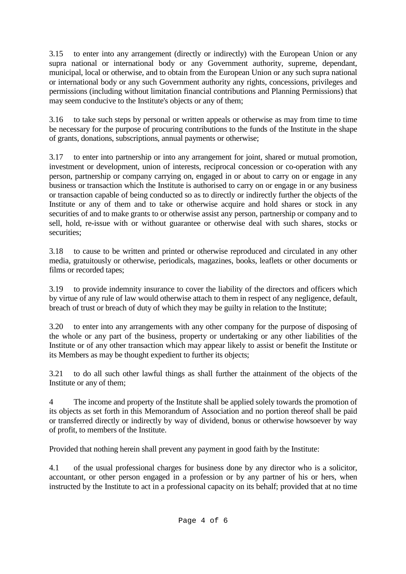3.15 to enter into any arrangement (directly or indirectly) with the European Union or any supra national or international body or any Government authority, supreme, dependant, municipal, local or otherwise, and to obtain from the European Union or any such supra national or international body or any such Government authority any rights, concessions, privileges and permissions (including without limitation financial contributions and Planning Permissions) that may seem conducive to the Institute's objects or any of them;

3.16 to take such steps by personal or written appeals or otherwise as may from time to time be necessary for the purpose of procuring contributions to the funds of the Institute in the shape of grants, donations, subscriptions, annual payments or otherwise;

3.17 to enter into partnership or into any arrangement for joint, shared or mutual promotion, investment or development, union of interests, reciprocal concession or co-operation with any person, partnership or company carrying on, engaged in or about to carry on or engage in any business or transaction which the Institute is authorised to carry on or engage in or any business or transaction capable of being conducted so as to directly or indirectly further the objects of the Institute or any of them and to take or otherwise acquire and hold shares or stock in any securities of and to make grants to or otherwise assist any person, partnership or company and to sell, hold, re-issue with or without guarantee or otherwise deal with such shares, stocks or securities:

3.18 to cause to be written and printed or otherwise reproduced and circulated in any other media, gratuitously or otherwise, periodicals, magazines, books, leaflets or other documents or films or recorded tapes;

3.19 to provide indemnity insurance to cover the liability of the directors and officers which by virtue of any rule of law would otherwise attach to them in respect of any negligence, default, breach of trust or breach of duty of which they may be guilty in relation to the Institute;

3.20 to enter into any arrangements with any other company for the purpose of disposing of the whole or any part of the business, property or undertaking or any other liabilities of the Institute or of any other transaction which may appear likely to assist or benefit the Institute or its Members as may be thought expedient to further its objects;

3.21 to do all such other lawful things as shall further the attainment of the objects of the Institute or any of them;

4 The income and property of the Institute shall be applied solely towards the promotion of its objects as set forth in this Memorandum of Association and no portion thereof shall be paid or transferred directly or indirectly by way of dividend, bonus or otherwise howsoever by way of profit, to members of the Institute.

Provided that nothing herein shall prevent any payment in good faith by the Institute:

4.1 of the usual professional charges for business done by any director who is a solicitor, accountant, or other person engaged in a profession or by any partner of his or hers, when instructed by the Institute to act in a professional capacity on its behalf; provided that at no time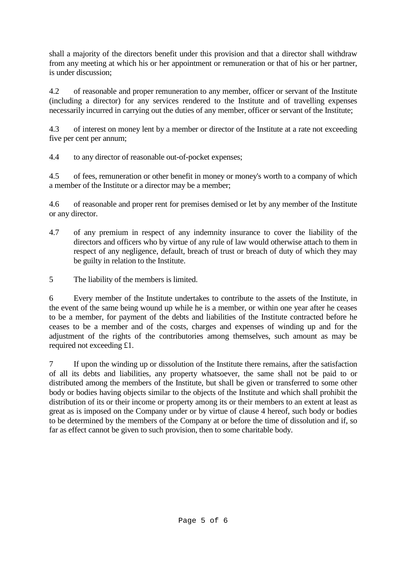shall a majority of the directors benefit under this provision and that a director shall withdraw from any meeting at which his or her appointment or remuneration or that of his or her partner, is under discussion;

4.2 of reasonable and proper remuneration to any member, officer or servant of the Institute (including a director) for any services rendered to the Institute and of travelling expenses necessarily incurred in carrying out the duties of any member, officer or servant of the Institute;

4.3 of interest on money lent by a member or director of the Institute at a rate not exceeding five per cent per annum;

4.4 to any director of reasonable out-of-pocket expenses;

4.5 of fees, remuneration or other benefit in money or money's worth to a company of which a member of the Institute or a director may be a member;

4.6 of reasonable and proper rent for premises demised or let by any member of the Institute or any director.

- 4.7 of any premium in respect of any indemnity insurance to cover the liability of the directors and officers who by virtue of any rule of law would otherwise attach to them in respect of any negligence, default, breach of trust or breach of duty of which they may be guilty in relation to the Institute.
- 5 The liability of the members is limited.

6 Every member of the Institute undertakes to contribute to the assets of the Institute, in the event of the same being wound up while he is a member, or within one year after he ceases to be a member, for payment of the debts and liabilities of the Institute contracted before he ceases to be a member and of the costs, charges and expenses of winding up and for the adjustment of the rights of the contributories among themselves, such amount as may be required not exceeding £1.

7 If upon the winding up or dissolution of the Institute there remains, after the satisfaction of all its debts and liabilities, any property whatsoever, the same shall not be paid to or distributed among the members of the Institute, but shall be given or transferred to some other body or bodies having objects similar to the objects of the Institute and which shall prohibit the distribution of its or their income or property among its or their members to an extent at least as great as is imposed on the Company under or by virtue of clause 4 hereof, such body or bodies to be determined by the members of the Company at or before the time of dissolution and if, so far as effect cannot be given to such provision, then to some charitable body.